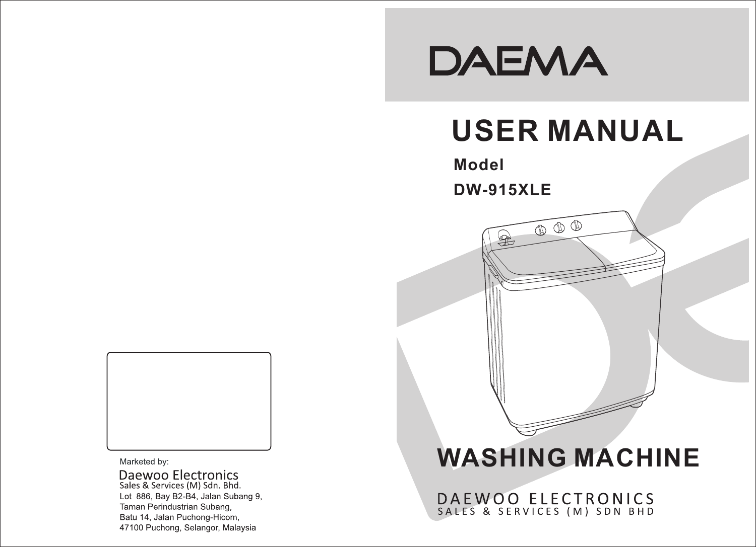# DAEMA

# **USER MANUAL**

 $\begin{picture}(120,15) \put(0,0){\line(1,0){155}} \put(15,0){\line(1,0){155}} \put(15,0){\line(1,0){155}} \put(15,0){\line(1,0){155}} \put(15,0){\line(1,0){155}} \put(15,0){\line(1,0){155}} \put(15,0){\line(1,0){155}} \put(15,0){\line(1,0){155}} \put(15,0){\line(1,0){155}} \put(15,0){\line(1,0){155}} \put(15,0){\line(1,0){155}}$ 

## **Model**

**DW-915XLE**

 $\mathbb{R}$ 



Marketed by:

Daewoo Electronics<br>Sales & Services (M) Sdn. Bhd. Lot 886, Bay B2-B4, Jalan Subang 9, Taman Perindustrian Subang, Batu 14, Jalan Puchong-Hicom, 47100 Puchong, Selangor, Malaysia

# **WASHING MACHINE**

DAEWOO ELECTRONICS<br>SALES & SERVICES (M) SDN BHD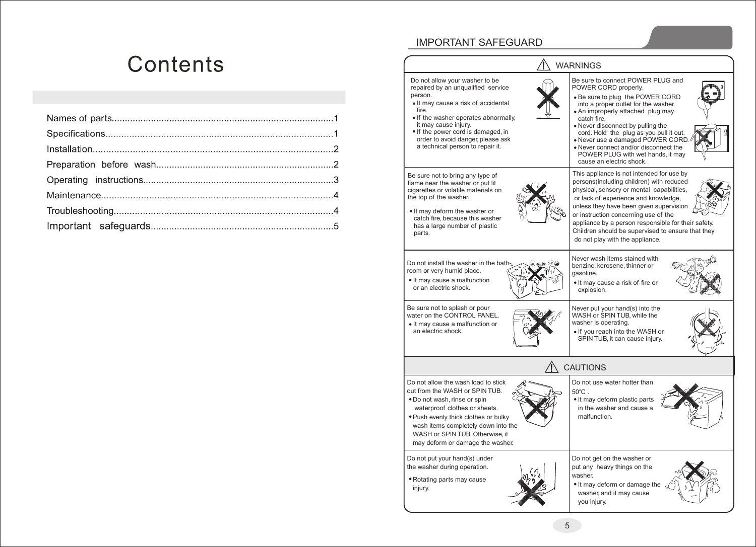## Contents

## IMPORTANT SAFEGUARD

Do not allow your washer to be repaired by an unqualified service person.

- It may cause a risk of accidental fire.
- If the washer operates abnormally, it may cause injury.
- If the power cord is damaged, in order to avoid danger, please ask a technical person to repair it.

Be sure not to bring any type of flame near the washer or put lit cigarettes or volatile materials on the top of the washer.

• It may deform the washer or catch fire, because this washer has a large number of plastic parts.

Do not install the washer in the bath room or very humid place.

• It may cause a malfunction or an electric shock.

Be sure not to splash or pour water on the CONTROL PANEL. It may cause a malfunction or an electric shock.

washer is operating. SPIN TUB, it can cause injury.

gasoline.

explosion.

 $\bigwedge$  WARNINGS

Never put your hand(s) into the WASH or SPIN TUB, while the If you reach into the WASH or

Be sure to connect POWER PLUG and

Be sure to plug the POWER CORD into a proper outlet for the washer. An improperly attached plug may

Never disconnect by pulling the cord. Hold the plug as you pull it out. Never use a damaged POWER CORD. Never connect and/or disconnect the POWER PLUG with wet hands, it may

This appliance is not intended for use by persons(including children) with reduced physical, sensory or mental capabilities, or lack of experience and knowledge, unless they have been given supervision or instruction concerning use of the

appliance by a person responsible for their safety. Children should be supervised to ensure that they

cause an electric shock.

Never wash items stained with benzine, kerosene, thinner or

• It may cause a risk of fire or

do not play with the appliance.

POWER CORD properly.

catch fire.

## ${\mathbf T}$  cautions

Do not allow the wash load to stick out from the WASH or SPIN TUB. Do not wash, rinse or spin waterproof clothes or sheets.

Push evenly thick clothes or bulky wash items completely down into the WASH or SPIN TUB. Otherwise, it may deform or damage the washer.

Do not put your hand(s) under the washer during operation.

Rotating parts may cause injury.

Do not use water hotter than 50℃ . • It may deform plastic parts in the washer and cause a malfunction.



• It may deform or damage the washer, and it may cause you injury. Do not get on the washer or put any heavy things on the washer.



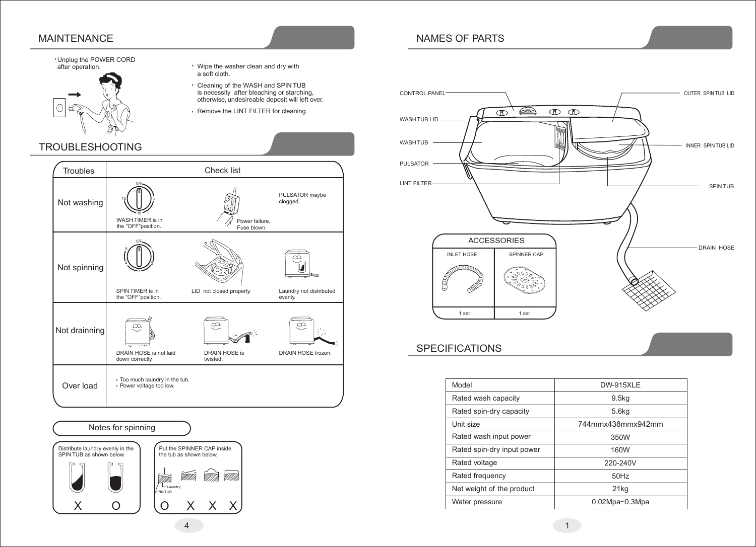## MAINTENANCE

## **Unplug the POWER CORD**<br>after operation.



TROUBLESHOOTING

- Wipe the washer clean and dry with a soft cloth.
- Cleaning of the WASH and SPIN TUB
- Remove the LINT FILTER for cleaning.

#### Troubles | Check list OFF PULSATOR maybe 15 5 clogged. Not washing 10 WASH TIMER is in Power failure. the "OFF"position. Fuse blown. OFF 5 1  $\overline{\infty}$ Not spinning 4 2  $\blacksquare$ 3 na ma SPIN TIMER is in LID not closed properly. Laundry not distributed the "OFF"position. evenly.  $\infty$  $\infty$  $\alpha$ Not drainning DRAIN HOSE is not laid DRAIN HOSE is DRAIN HOSE frozen. down correctly. twisted. Too much laundry in the tub. Over load • Power voltage too low.



- is necessity after bleaching or starching, otherwise, undesireable deposit will left over.
- 

## NAMES OF PARTS



## **SPECIFICATIONS**

| Model                      | <b>DW-915XLE</b>      |
|----------------------------|-----------------------|
| Rated wash capacity        | 9.5 <sub>kq</sub>     |
| Rated spin-dry capacity    | 5.6 <sub>kq</sub>     |
| Unit size                  | 744mmx438mmx942mm     |
| Rated wash input power     | 350W                  |
| Rated spin-dry input power | 160W                  |
| Rated voltage              | 220-240V              |
| Rated frequency            | 50Hz                  |
| Net weight of the product  | 21 <sub>kg</sub>      |
| Water pressure             | $0.02Mpa \sim 0.3Mpa$ |